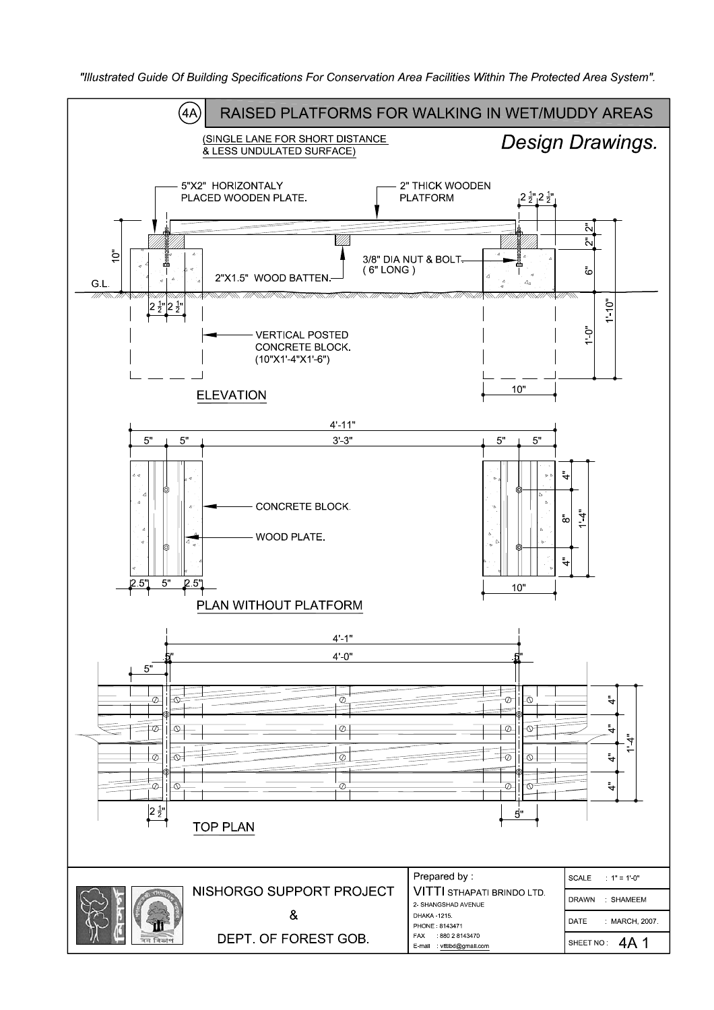"Illustrated Guide Of Building Specifications For Conservation Area Facilities Within The Protected Area System".

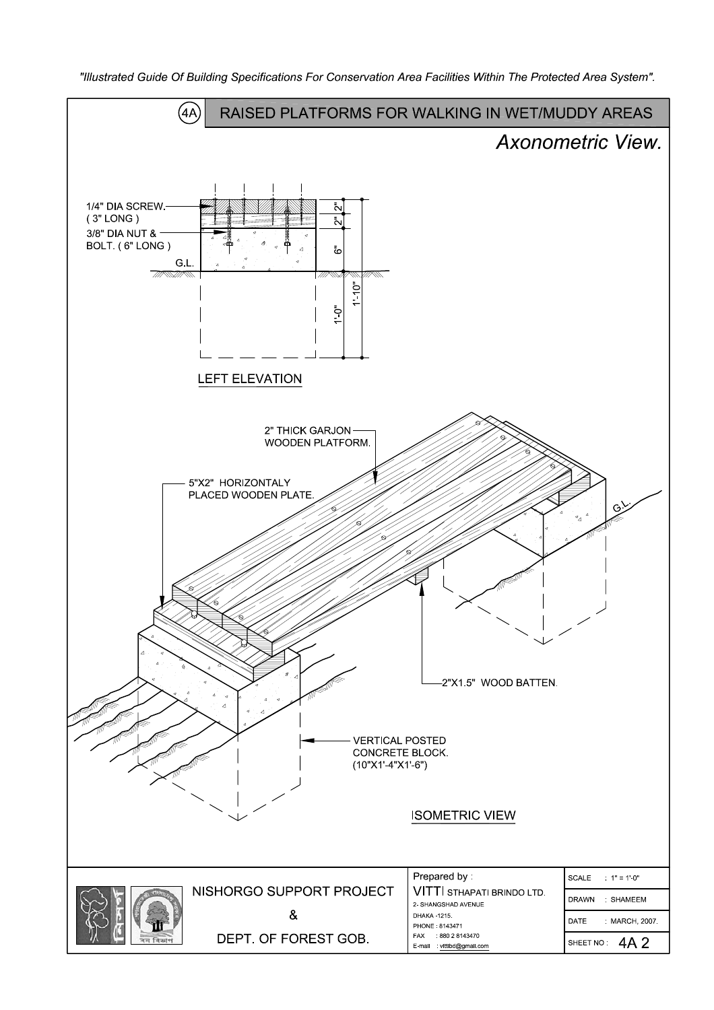"Illustrated Guide Of Building Specifications For Conservation Area Facilities Within The Protected Area System".